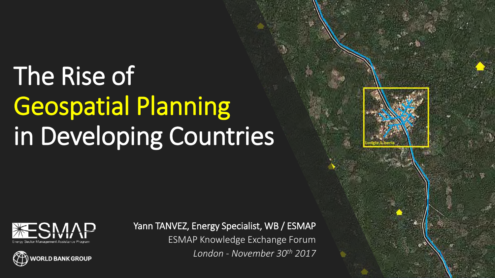# The Rise of Geospatial Planning in Developing Countries







Yann TANVEZ, Energy Specialist, WB / ESMAP ESMAP Knowledge Exchange Forum *London - November 30th 2017*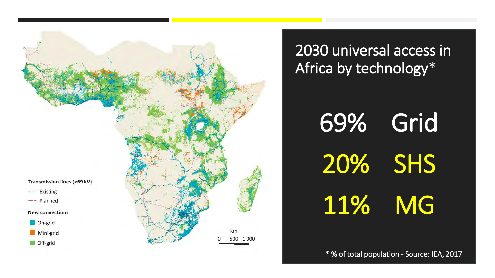

2030 universal access in Africa by technology\*

> 69% Grid 20% SHS 11% MG

\* % of total population - Source: IEA, 2017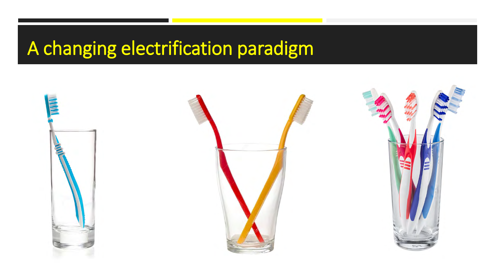## A changing electrification paradigm

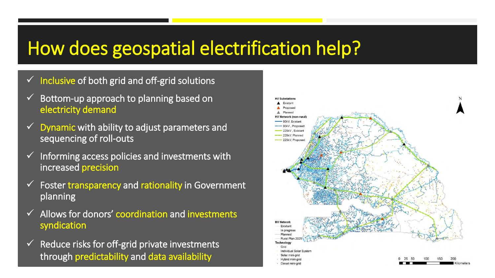## How does geospatial electrification help?

- $\checkmark$  Inclusive of both grid and off-grid solutions
- Bottom-up approach to planning based on electricity demand
- $\checkmark$  Dynamic with ability to adjust parameters and sequencing of roll-outs
- Informing access policies and investments with increased precision
- Foster transparency and rationality in Government planning
- $\checkmark$  Allows for donors' coordination and investments syndication
- $\checkmark$  Reduce risks for off-grid private investments through predictability and data availability

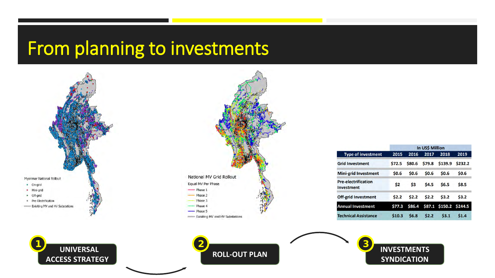### From planning to investments



**UNIVERSAL** 



|                                          | In US\$ Million |             |        |                        |         |
|------------------------------------------|-----------------|-------------|--------|------------------------|---------|
| <b>Type of investment</b>                | 2015            | 2016        | 2017   | 2018                   | 2019    |
| <b>Grid Investment</b>                   | \$72.5          | \$80.6      | \$79.8 | \$139.9                | \$232.2 |
| <b>Mini-grid Investment</b>              | \$0.6           | \$0.6       | \$0.6  | \$0.6                  | \$0.6   |
| <b>Pre-electrification</b><br>Investment | \$2             | \$3         | \$4.5  | \$6.5                  | \$8.5   |
| <b>Off-grid Investment</b>               | \$2.2           | 52.2        | \$2.2  | \$3.2                  | 53.2    |
| <b>Annual Investment</b>                 | \$77.3          | \$86.4      |        | \$87.1 \$150.2 \$244.5 |         |
| <b>Technical Assistance</b>              | \$10.3          | <b>S6.8</b> | 52.2   | 53.1                   | \$1.4   |

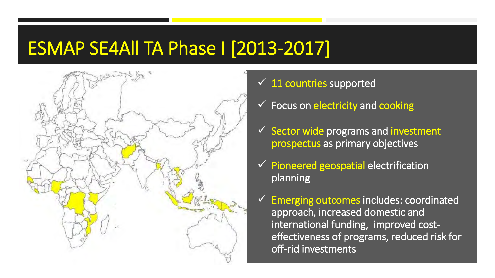### ESMAP SE4All TA Phase I [2013-2017]



- $\checkmark$  11 countries supported
- $\checkmark$  Focus on electricity and cooking
- $\checkmark$  Sector wide programs and investment prospectus as primary objectives
- $\checkmark$  Pioneered geospatial electrification planning
- Emerging outcomes includes: coordinated approach, increased domestic and international funding, improved costeffectiveness of programs, reduced risk for off-rid investments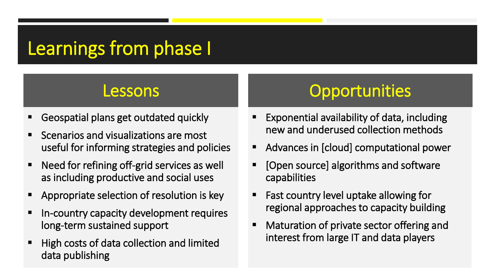## Learnings from phase I

- Geospatial plans get outdated quickly
- Scenarios and visualizations are most useful for informing strategies and policies
- Need for refining off-grid services as well as including productive and social uses
- **EXTE** Appropriate selection of resolution is key
- In-country capacity development requires long-term sustained support
- **High costs of data collection and limited** data publishing

### Lessons Opportunities

- Exponential availability of data, including new and underused collection methods
- Advances in [cloud] computational power
- [Open source] algorithms and software capabilities
- **Fast country level uptake allowing for** regional approaches to capacity building
- **Maturation of private sector offering and** interest from large IT and data players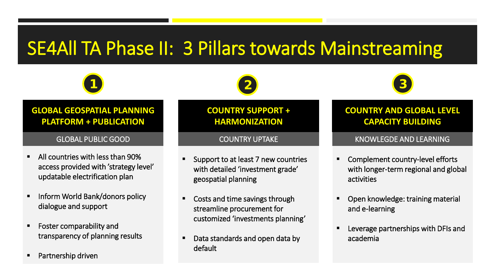## SE4All TA Phase II: 3 Pillars towards Mainstreaming



### **GLOBAL GEOSPATIAL PLANNING** platform + publication **PLATFORM + PUBLICATION**

- All countries with less than 90% access provided with 'strategy level' updatable electrification plan
- Inform World Bank/donors policy dialogue and support
- Foster comparability and transparency of planning results
- Partnership driven

### **COUNTRY SUPPORT + electrification procurements HARMONIZATION**

- Support to at least 7 new countries with detailed 'investment grade' geospatial planning
- Costs and time savings through streamline procurement for customized 'investments planning'
- Data standards and open data by default



### **Country and global level COUNTRY AND GLOBAL LEVEL capacity building CAPACITY BUILDING**

### GLOBAL PUBLIC GOOD COUNTRY UPTAKE KNOWLEGDE AND LEARNING

- Complement country-level efforts with longer-term regional and global activities
- Open knowledge: training material and e-learning
- Leverage partnerships with DFIs and academia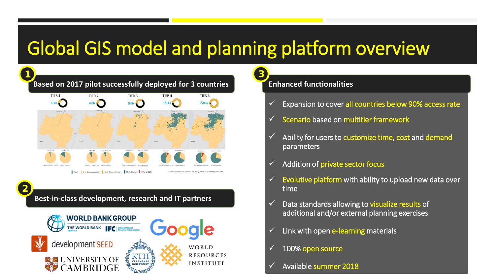## Global GIS model and planning platform overview



### **Best-in-class development, research and IT partners**

**2**



**Enhanced functionalities 3**

- Expansion to cover all countries below 90% access rate
- Scenario based on multitier framework
- Ability for users to customize time, cost and demand parameters
- Addition of private sector focus
- Evolutive platform with ability to upload new data over time
- Data standards allowing to visualize results of additional and/or external planning exercises
- Link with open e-learning materials
- 100% open source
- Available summer 2018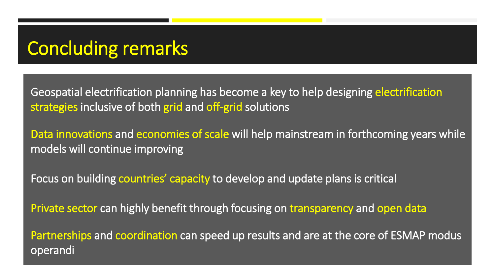### Concluding remarks

Geospatial electrification planning has become a key to help designing electrification strategies inclusive of both grid and off-grid solutions

Data innovations and economies of scale will help mainstream in forthcoming years while models will continue improving

Focus on building countries' capacity to develop and update plans is critical

Private sector can highly benefit through focusing on transparency and open data

Partnerships and coordination can speed up results and are at the core of ESMAP modus operandi